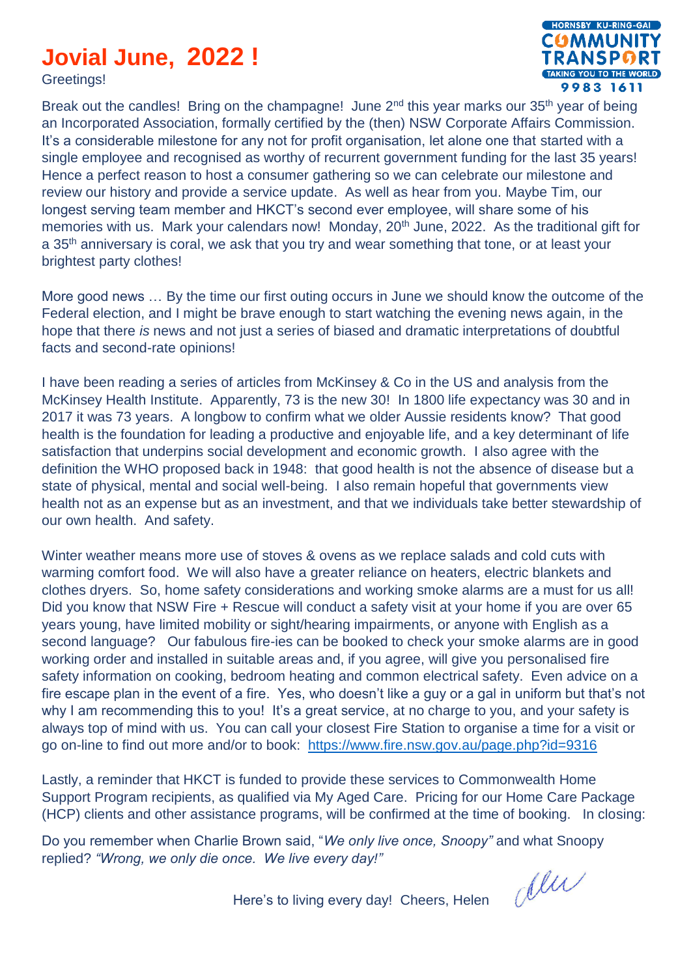## **Jovial June, 2022 !**

Greetings!



Break out the candles! Bring on the champagne! June  $2<sup>nd</sup>$  this year marks our 35<sup>th</sup> year of being an Incorporated Association, formally certified by the (then) NSW Corporate Affairs Commission. It's a considerable milestone for any not for profit organisation, let alone one that started with a single employee and recognised as worthy of recurrent government funding for the last 35 years! Hence a perfect reason to host a consumer gathering so we can celebrate our milestone and review our history and provide a service update. As well as hear from you. Maybe Tim, our longest serving team member and HKCT's second ever employee, will share some of his memories with us. Mark your calendars now! Monday, 20<sup>th</sup> June, 2022. As the traditional gift for a 35<sup>th</sup> anniversary is coral, we ask that you try and wear something that tone, or at least your brightest party clothes!

More good news … By the time our first outing occurs in June we should know the outcome of the Federal election, and I might be brave enough to start watching the evening news again, in the hope that there *is* news and not just a series of biased and dramatic interpretations of doubtful facts and second-rate opinions!

I have been reading a series of articles from McKinsey & Co in the US and analysis from the McKinsey Health Institute. Apparently, 73 is the new 30! In 1800 life expectancy was 30 and in 2017 it was 73 years. A longbow to confirm what we older Aussie residents know? That good health is the foundation for leading a productive and enjoyable life, and a key determinant of life satisfaction that underpins social development and economic growth. I also agree with the definition the WHO proposed back in 1948: that good health is not the absence of disease but a state of physical, mental and social well-being. I also remain hopeful that governments view health not as an expense but as an investment, and that we individuals take better stewardship of our own health. And safety.

Winter weather means more use of stoves & ovens as we replace salads and cold cuts with warming comfort food. We will also have a greater reliance on heaters, electric blankets and clothes dryers. So, home safety considerations and working smoke alarms are a must for us all! Did you know that NSW Fire + Rescue will conduct a safety visit at your home if you are over 65 years young, have limited mobility or sight/hearing impairments, or anyone with English as a second language? Our fabulous fire-ies can be booked to check your smoke alarms are in good working order and installed in suitable areas and, if you agree, will give you personalised fire safety information on cooking, bedroom heating and common electrical safety. Even advice on a fire escape plan in the event of a fire. Yes, who doesn't like a guy or a gal in uniform but that's not why I am recommending this to you! It's a great service, at no charge to you, and your safety is always top of mind with us. You can call your closest Fire Station to organise a time for a visit or go on-line to find out more and/or to book: <https://www.fire.nsw.gov.au/page.php?id=9316>

Lastly, a reminder that HKCT is funded to provide these services to Commonwealth Home Support Program recipients, as qualified via My Aged Care. Pricing for our Home Care Package (HCP) clients and other assistance programs, will be confirmed at the time of booking. In closing:

Do you remember when Charlie Brown said, "*We only live once, Snoopy"* and what Snoopy replied? *"Wrong, we only die once. We live every day!"*

dlu

Here's to living every day! Cheers, Helen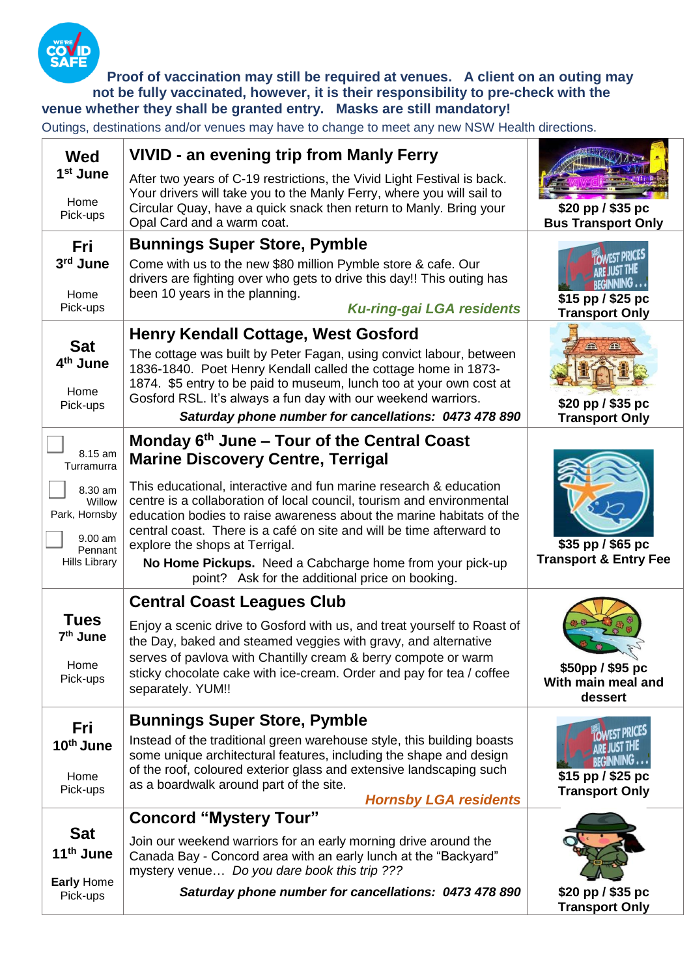

**Proof of vaccination may still be required at venues. A client on an outing may not be fully vaccinated, however, it is their responsibility to pre-check with the venue whether they shall be granted entry. Masks are still mandatory!**

Outings, destinations and/or venues may have to change to meet any new NSW Health directions.

| <b>Wed</b><br>1 <sup>st</sup> June                                                 | <b>VIVID - an evening trip from Manly Ferry</b><br>After two years of C-19 restrictions, the Vivid Light Festival is back.                                                                                                                                                                                                                                                                                                                  |                                                                                                                |
|------------------------------------------------------------------------------------|---------------------------------------------------------------------------------------------------------------------------------------------------------------------------------------------------------------------------------------------------------------------------------------------------------------------------------------------------------------------------------------------------------------------------------------------|----------------------------------------------------------------------------------------------------------------|
| Home<br>Pick-ups                                                                   | Your drivers will take you to the Manly Ferry, where you will sail to<br>Circular Quay, have a quick snack then return to Manly. Bring your<br>Opal Card and a warm coat.                                                                                                                                                                                                                                                                   | \$20 pp / \$35 pc<br><b>Bus Transport Only</b>                                                                 |
| Fri<br>3rd June<br>Home<br>Pick-ups                                                | <b>Bunnings Super Store, Pymble</b><br>Come with us to the new \$80 million Pymble store & cafe. Our<br>drivers are fighting over who gets to drive this day!! This outing has<br>been 10 years in the planning.<br><b>Ku-ring-gai LGA residents</b>                                                                                                                                                                                        | <b><i>FIST PRICES</i></b><br>ARE JUST THE<br><b>BEGINNING</b><br>$$15$ pp $/$ \$25 pc<br><b>Transport Only</b> |
| <b>Sat</b><br>4 <sup>th</sup> June<br>Home<br>Pick-ups                             | <b>Henry Kendall Cottage, West Gosford</b><br>The cottage was built by Peter Fagan, using convict labour, between<br>1836-1840. Poet Henry Kendall called the cottage home in 1873-<br>1874. \$5 entry to be paid to museum, lunch too at your own cost at<br>Gosford RSL. It's always a fun day with our weekend warriors.<br>Saturday phone number for cancellations: 0473 478 890                                                        | \$20 pp / \$35 pc<br><b>Transport Only</b>                                                                     |
| 8.15 am<br>Turramurra                                                              | Monday $6th$ June – Tour of the Central Coast<br><b>Marine Discovery Centre, Terrigal</b>                                                                                                                                                                                                                                                                                                                                                   |                                                                                                                |
| 8.30 am<br>Willow<br>Park, Hornsby<br>$9.00$ am<br>Pennant<br><b>Hills Library</b> | This educational, interactive and fun marine research & education<br>centre is a collaboration of local council, tourism and environmental<br>education bodies to raise awareness about the marine habitats of the<br>central coast. There is a café on site and will be time afterward to<br>explore the shops at Terrigal.<br>No Home Pickups. Need a Cabcharge home from your pick-up<br>point? Ask for the additional price on booking. | \$35 pp / \$65 pc<br><b>Transport &amp; Entry Fee</b>                                                          |
|                                                                                    | <b>Central Coast Leagues Club</b>                                                                                                                                                                                                                                                                                                                                                                                                           |                                                                                                                |
| <b>Tues</b><br>7 <sup>th</sup> June<br>Home<br>Pick-ups                            | Enjoy a scenic drive to Gosford with us, and treat yourself to Roast of<br>the Day, baked and steamed veggies with gravy, and alternative<br>serves of pavlova with Chantilly cream & berry compote or warm<br>sticky chocolate cake with ice-cream. Order and pay for tea / coffee<br>separately. YUM!!                                                                                                                                    | \$50pp / \$95 pc<br>With main meal and<br>dessert                                                              |
| Fri                                                                                | <b>Bunnings Super Store, Pymble</b>                                                                                                                                                                                                                                                                                                                                                                                                         | <b>OWEST PRICES</b>                                                                                            |
| 10th June<br>Home<br>Pick-ups                                                      | Instead of the traditional green warehouse style, this building boasts<br>some unique architectural features, including the shape and design<br>of the roof, coloured exterior glass and extensive landscaping such<br>as a boardwalk around part of the site.<br><b>Hornsby LGA residents</b>                                                                                                                                              | ARE JUST THE<br><b>BEGINNING</b><br>$$15$ pp $/$ \$25 pc<br><b>Transport Only</b>                              |
|                                                                                    | <b>Concord "Mystery Tour"</b>                                                                                                                                                                                                                                                                                                                                                                                                               |                                                                                                                |
| <b>Sat</b><br>11 <sup>th</sup> June<br><b>Early Home</b>                           | Join our weekend warriors for an early morning drive around the<br>Canada Bay - Concord area with an early lunch at the "Backyard"<br>mystery venue Do you dare book this trip ???                                                                                                                                                                                                                                                          |                                                                                                                |
| Pick-ups                                                                           | Saturday phone number for cancellations: 0473 478 890                                                                                                                                                                                                                                                                                                                                                                                       | \$20 pp / \$35 pc<br><b>Transport Only</b>                                                                     |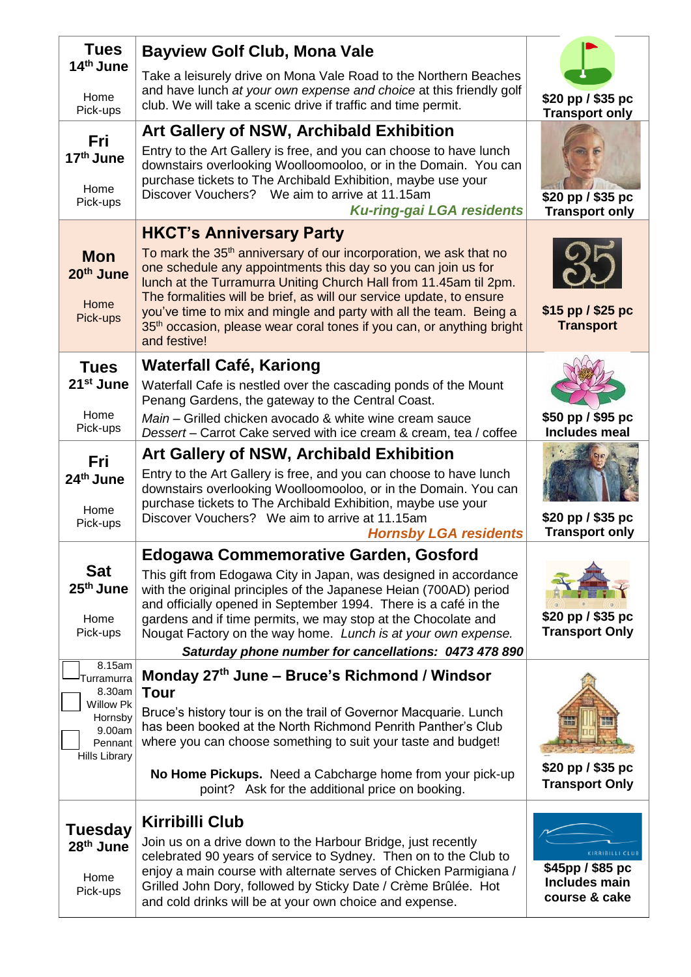| <b>Tues</b>                                          | <b>Bayview Golf Club, Mona Vale</b>                                                                                                                                                                                                                                                                                                                                                                                                                                    |                                                                       |
|------------------------------------------------------|------------------------------------------------------------------------------------------------------------------------------------------------------------------------------------------------------------------------------------------------------------------------------------------------------------------------------------------------------------------------------------------------------------------------------------------------------------------------|-----------------------------------------------------------------------|
| 14th June                                            | Take a leisurely drive on Mona Vale Road to the Northern Beaches<br>and have lunch at your own expense and choice at this friendly golf                                                                                                                                                                                                                                                                                                                                |                                                                       |
| Home<br>Pick-ups                                     | club. We will take a scenic drive if traffic and time permit.                                                                                                                                                                                                                                                                                                                                                                                                          | \$20 pp / \$35 pc<br><b>Transport only</b>                            |
| Fri                                                  | <b>Art Gallery of NSW, Archibald Exhibition</b>                                                                                                                                                                                                                                                                                                                                                                                                                        |                                                                       |
| 17 <sup>th</sup> June                                | Entry to the Art Gallery is free, and you can choose to have lunch<br>downstairs overlooking Woolloomooloo, or in the Domain. You can                                                                                                                                                                                                                                                                                                                                  |                                                                       |
| Home<br>Pick-ups                                     | purchase tickets to The Archibald Exhibition, maybe use your<br>Discover Vouchers? We aim to arrive at 11.15am<br><b>Ku-ring-gai LGA residents</b>                                                                                                                                                                                                                                                                                                                     | \$20 pp / \$35 pc<br><b>Transport only</b>                            |
|                                                      | <b>HKCT's Anniversary Party</b>                                                                                                                                                                                                                                                                                                                                                                                                                                        |                                                                       |
| <b>Mon</b><br>20th June<br>Home<br>Pick-ups          | To mark the 35 <sup>th</sup> anniversary of our incorporation, we ask that no<br>one schedule any appointments this day so you can join us for<br>lunch at the Turramurra Uniting Church Hall from 11.45am til 2pm.<br>The formalities will be brief, as will our service update, to ensure<br>you've time to mix and mingle and party with all the team. Being a<br>35 <sup>th</sup> occasion, please wear coral tones if you can, or anything bright<br>and festive! | $$15$ pp $/$ \$25 pc<br><b>Transport</b>                              |
| <b>Tues</b>                                          | <b>Waterfall Café, Kariong</b>                                                                                                                                                                                                                                                                                                                                                                                                                                         |                                                                       |
| 21 <sup>st</sup> June                                | Waterfall Cafe is nestled over the cascading ponds of the Mount<br>Penang Gardens, the gateway to the Central Coast.                                                                                                                                                                                                                                                                                                                                                   |                                                                       |
| Home<br>Pick-ups                                     | Main - Grilled chicken avocado & white wine cream sauce<br>Dessert – Carrot Cake served with ice cream & cream, tea / coffee                                                                                                                                                                                                                                                                                                                                           | \$50 pp / \$95 pc<br><b>Includes meal</b>                             |
| Fri                                                  | <b>Art Gallery of NSW, Archibald Exhibition</b>                                                                                                                                                                                                                                                                                                                                                                                                                        |                                                                       |
| 24 <sup>th</sup> June<br>Home                        | Entry to the Art Gallery is free, and you can choose to have lunch<br>downstairs overlooking Woolloomooloo, or in the Domain. You can<br>purchase tickets to The Archibald Exhibition, maybe use your<br>Discover Vouchers? We aim to arrive at 11.15am                                                                                                                                                                                                                | \$20 pp / \$35 pc                                                     |
| Pick-ups                                             | <b>Hornsby LGA residents</b>                                                                                                                                                                                                                                                                                                                                                                                                                                           | <b>Transport only</b>                                                 |
| <b>Sat</b>                                           | <b>Edogawa Commemorative Garden, Gosford</b>                                                                                                                                                                                                                                                                                                                                                                                                                           |                                                                       |
| 25 <sup>th</sup> June                                | This gift from Edogawa City in Japan, was designed in accordance<br>with the original principles of the Japanese Heian (700AD) period<br>and officially opened in September 1994. There is a café in the                                                                                                                                                                                                                                                               |                                                                       |
| Home<br>Pick-ups                                     | gardens and if time permits, we may stop at the Chocolate and<br>Nougat Factory on the way home. Lunch is at your own expense.                                                                                                                                                                                                                                                                                                                                         | \$20 pp / \$35 pc<br><b>Transport Only</b>                            |
|                                                      | Saturday phone number for cancellations: 0473 478 890                                                                                                                                                                                                                                                                                                                                                                                                                  |                                                                       |
| 8.15am<br>Turramurra<br>8.30am                       | Monday 27 <sup>th</sup> June – Bruce's Richmond / Windsor<br>Tour                                                                                                                                                                                                                                                                                                                                                                                                      |                                                                       |
| <b>Willow Pk</b><br>Hornsby                          | Bruce's history tour is on the trail of Governor Macquarie. Lunch                                                                                                                                                                                                                                                                                                                                                                                                      |                                                                       |
| 9.00am<br>Pennant<br><b>Hills Library</b>            | has been booked at the North Richmond Penrith Panther's Club<br>where you can choose something to suit your taste and budget!                                                                                                                                                                                                                                                                                                                                          |                                                                       |
|                                                      | No Home Pickups. Need a Cabcharge home from your pick-up<br>point? Ask for the additional price on booking.                                                                                                                                                                                                                                                                                                                                                            | \$20 pp / \$35 pc<br><b>Transport Only</b>                            |
|                                                      | <b>Kirribilli Club</b>                                                                                                                                                                                                                                                                                                                                                                                                                                                 |                                                                       |
| Tuesday<br>28 <sup>th</sup> June<br>Home<br>Pick-ups | Join us on a drive down to the Harbour Bridge, just recently<br>celebrated 90 years of service to Sydney. Then on to the Club to<br>enjoy a main course with alternate serves of Chicken Parmigiana /<br>Grilled John Dory, followed by Sticky Date / Crème Brûlée. Hot<br>and cold drinks will be at your own choice and expense.                                                                                                                                     | KIRRIBILLI CLUB<br>\$45pp / \$85 pc<br>Includes main<br>course & cake |